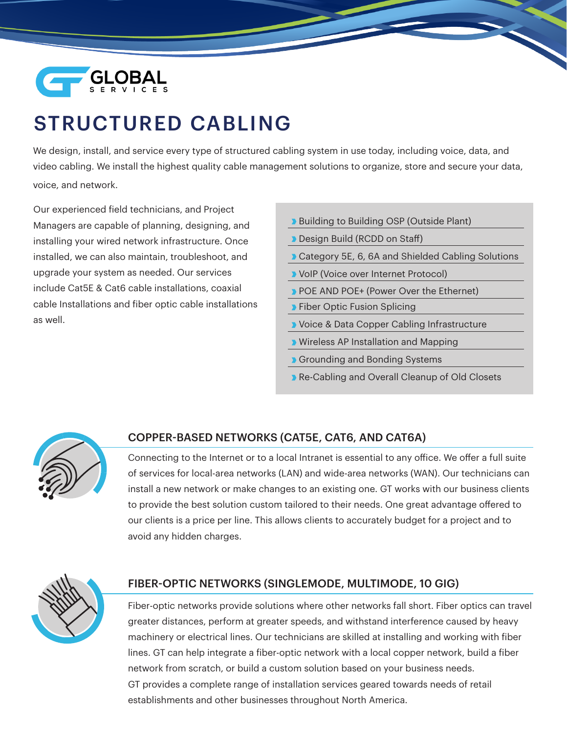

# STRUCTURED CABLING

We design, install, and service every type of structured cabling system in use today, including voice, data, and video cabling. We install the highest quality cable management solutions to organize, store and secure your data, voice, and network.

Our experienced field technicians, and Project Managers are capable of planning, designing, and installing your wired network infrastructure. Once installed, we can also maintain, troubleshoot, and upgrade your system as needed. Our services include Cat5E & Cat6 cable installations, coaxial cable Installations and fiber optic cable installations as well.

- **Building to Building OSP (Outside Plant)**
- Design Build (RCDD on Staff)
- **D** Category 5E, 6, 6A and Shielded Cabling Solutions
- **VolP (Voice over Internet Protocol)**
- **POE AND POE+ (Power Over the Ethernet)**
- **Fiber Optic Fusion Splicing**
- **D** Voice & Data Copper Cabling Infrastructure
- **D** Wireless AP Installation and Mapping
- **Grounding and Bonding Systems**
- Re-Cabling and Overall Cleanup of Old Closets



#### COPPER-BASED NETWORKS (CAT5E, CAT6, AND CAT6A)

Connecting to the Internet or to a local Intranet is essential to any office. We offer a full suite of services for local-area networks (LAN) and wide-area networks (WAN). Our technicians can install a new network or make changes to an existing one. GT works with our business clients to provide the best solution custom tailored to their needs. One great advantage offered to our clients is a price per line. This allows clients to accurately budget for a project and to avoid any hidden charges.



#### FIBER-OPTIC NETWORKS (SINGLEMODE, MULTIMODE, 10 GIG)

Fiber-optic networks provide solutions where other networks fall short. Fiber optics can travel greater distances, perform at greater speeds, and withstand interference caused by heavy machinery or electrical lines. Our technicians are skilled at installing and working with fiber lines. GT can help integrate a fiber-optic network with a local copper network, build a fiber network from scratch, or build a custom solution based on your business needs. GT provides a complete range of installation services geared towards needs of retail establishments and other businesses throughout North America.